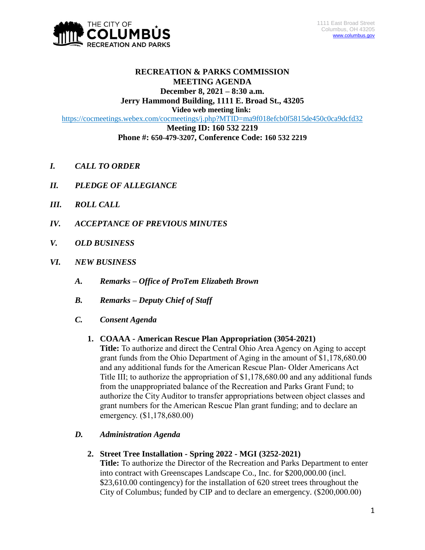

# **RECREATION & PARKS COMMISSION MEETING AGENDA December 8, 2021 – 8:30 a.m.**

**Jerry Hammond Building, 1111 E. Broad St., 43205**

**Video web meeting link:**

<https://cocmeetings.webex.com/cocmeetings/j.php?MTID=ma9f018efcb0f5815de450c0ca9dcfd32>

**Meeting ID: 160 532 2219 Phone #: 650-479-3207, Conference Code: 160 532 2219**

- *I. CALL TO ORDER*
- *II. PLEDGE OF ALLEGIANCE*
- *III. ROLL CALL*
- *IV. ACCEPTANCE OF PREVIOUS MINUTES*
- *V. OLD BUSINESS*
- *VI. NEW BUSINESS*
	- *A. Remarks – Office of ProTem Elizabeth Brown*
	- *B. Remarks – Deputy Chief of Staff*
	- *C. Consent Agenda*

### **1. COAAA - American Rescue Plan Appropriation (3054-2021)**

**Title:** To authorize and direct the Central Ohio Area Agency on Aging to accept grant funds from the Ohio Department of Aging in the amount of \$1,178,680.00 and any additional funds for the American Rescue Plan- Older Americans Act Title III; to authorize the appropriation of \$1,178,680.00 and any additional funds from the unappropriated balance of the Recreation and Parks Grant Fund; to authorize the City Auditor to transfer appropriations between object classes and grant numbers for the American Rescue Plan grant funding; and to declare an emergency. (\$1,178,680.00)

### *D. Administration Agenda*

**2. Street Tree Installation - Spring 2022 - MGI (3252-2021)**

**Title:** To authorize the Director of the Recreation and Parks Department to enter into contract with Greenscapes Landscape Co., Inc. for \$200,000.00 (incl. \$23,610.00 contingency) for the installation of 620 street trees throughout the City of Columbus; funded by CIP and to declare an emergency. (\$200,000.00)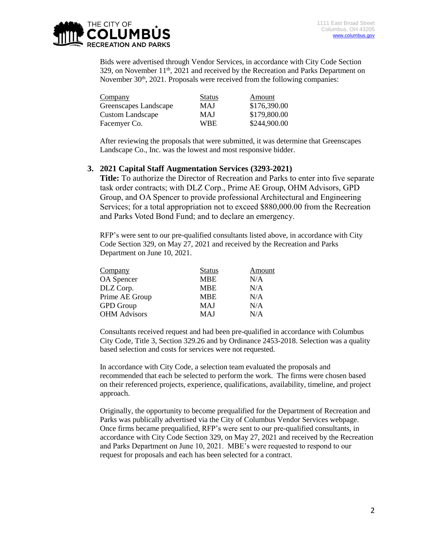

Bids were advertised through Vendor Services, in accordance with City Code Section  $329$ , on November  $11<sup>th</sup>$ ,  $2021$  and received by the Recreation and Parks Department on November  $30<sup>th</sup>$ ,  $2021$ . Proposals were received from the following companies:

| Company                 | <b>Status</b> | Amount       |
|-------------------------|---------------|--------------|
| Greenscapes Landscape   | MAJ           | \$176,390.00 |
| <b>Custom Landscape</b> | MAJ           | \$179,800.00 |
| Facemyer Co.            | <b>WBE</b>    | \$244,900.00 |

After reviewing the proposals that were submitted, it was determine that Greenscapes Landscape Co., Inc. was the lowest and most responsive bidder.

#### **3. 2021 Capital Staff Augmentation Services (3293-2021)**

**Title:** To authorize the Director of Recreation and Parks to enter into five separate task order contracts; with DLZ Corp., Prime AE Group, OHM Advisors, GPD Group, and OA Spencer to provide professional Architectural and Engineering Services; for a total appropriation not to exceed \$880,000.00 from the Recreation and Parks Voted Bond Fund; and to declare an emergency.

RFP's were sent to our pre-qualified consultants listed above, in accordance with City Code Section 329, on May 27, 2021 and received by the Recreation and Parks Department on June 10, 2021.

| Company             | <b>Status</b> | Amount |
|---------------------|---------------|--------|
| OA Spencer          | <b>MBE</b>    | N/A    |
| DLZ Corp.           | <b>MBE</b>    | N/A    |
| Prime AE Group      | <b>MBE</b>    | N/A    |
| <b>GPD</b> Group    | MAJ           | N/A    |
| <b>OHM</b> Advisors | MAJ           | N/A    |

Consultants received request and had been pre-qualified in accordance with Columbus City Code, Title 3, Section 329.26 and by Ordinance 2453-2018. Selection was a quality based selection and costs for services were not requested.

In accordance with City Code, a selection team evaluated the proposals and recommended that each be selected to perform the work. The firms were chosen based on their referenced projects, experience, qualifications, availability, timeline, and project approach.

Originally, the opportunity to become prequalified for the Department of Recreation and Parks was publically advertised via the City of Columbus Vendor Services webpage. Once firms became prequalified, RFP's were sent to our pre-qualified consultants, in accordance with City Code Section 329, on May 27, 2021 and received by the Recreation and Parks Department on June 10, 2021. MBE's were requested to respond to our request for proposals and each has been selected for a contract.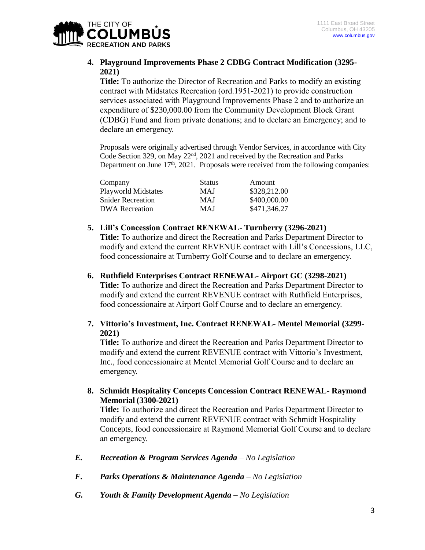

# **4. Playground Improvements Phase 2 CDBG Contract Modification (3295- 2021)**

**Title:** To authorize the Director of Recreation and Parks to modify an existing contract with Midstates Recreation (ord.1951-2021) to provide construction services associated with Playground Improvements Phase 2 and to authorize an expenditure of \$230,000.00 from the Community Development Block Grant (CDBG) Fund and from private donations; and to declare an Emergency; and to declare an emergency.

Proposals were originally advertised through Vendor Services, in accordance with City Code Section 329, on May 22nd, 2021 and received by the Recreation and Parks Department on June 17<sup>th</sup>, 2021. Proposals were received from the following companies:

| Company                    | <b>Status</b> | Amount       |
|----------------------------|---------------|--------------|
| <b>Playworld Midstates</b> | MAJ           | \$328,212.00 |
| <b>Snider Recreation</b>   | <b>MAJ</b>    | \$400,000.00 |
| <b>DWA</b> Recreation      | <b>MAJ</b>    | \$471,346.27 |

- **5. Lill's Concession Contract RENEWAL- Turnberry (3296-2021) Title:** To authorize and direct the Recreation and Parks Department Director to modify and extend the current REVENUE contract with Lill's Concessions, LLC, food concessionaire at Turnberry Golf Course and to declare an emergency.
- **6. Ruthfield Enterprises Contract RENEWAL- Airport GC (3298-2021) Title:** To authorize and direct the Recreation and Parks Department Director to modify and extend the current REVENUE contract with Ruthfield Enterprises, food concessionaire at Airport Golf Course and to declare an emergency.
- **7. Vittorio's Investment, Inc. Contract RENEWAL- Mentel Memorial (3299- 2021)**

**Title:** To authorize and direct the Recreation and Parks Department Director to modify and extend the current REVENUE contract with Vittorio's Investment, Inc., food concessionaire at Mentel Memorial Golf Course and to declare an emergency.

**8. Schmidt Hospitality Concepts Concession Contract RENEWAL- Raymond Memorial (3300-2021)**

**Title:** To authorize and direct the Recreation and Parks Department Director to modify and extend the current REVENUE contract with Schmidt Hospitality Concepts, food concessionaire at Raymond Memorial Golf Course and to declare an emergency.

- *E. Recreation & Program Services Agenda – No Legislation*
- *F. Parks Operations & Maintenance Agenda – No Legislation*
- *G. Youth & Family Development Agenda – No Legislation*